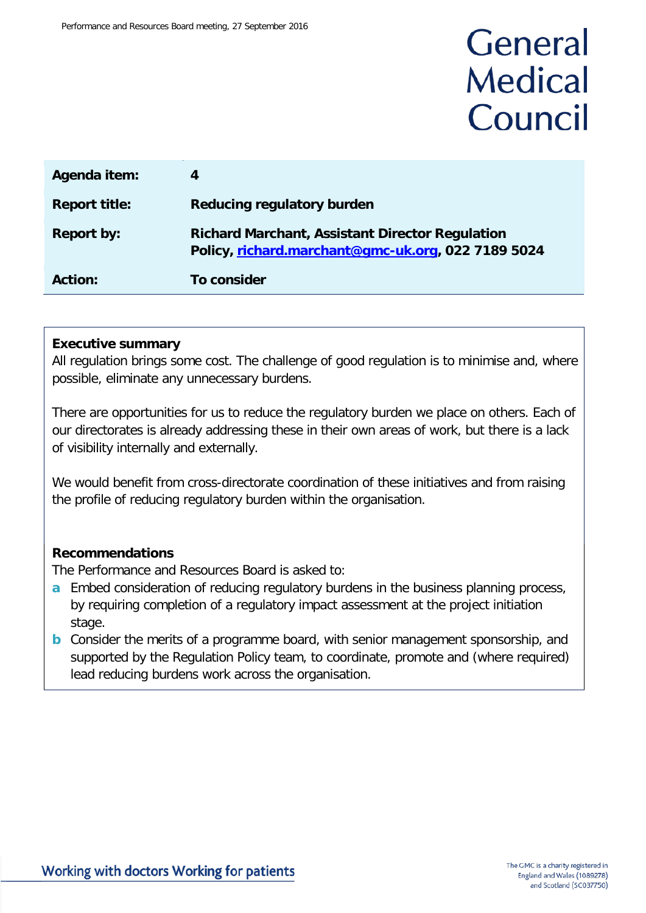## General **Medical** Council

| Agenda item:         | 4                                                                                                            |
|----------------------|--------------------------------------------------------------------------------------------------------------|
| <b>Report title:</b> | Reducing regulatory burden                                                                                   |
| <b>Report by:</b>    | <b>Richard Marchant, Assistant Director Regulation</b><br>Policy, richard.marchant@gmc-uk.org, 022 7189 5024 |
| Action:              | To consider                                                                                                  |

#### **Executive summary**

All regulation brings some cost. The challenge of good regulation is to minimise and, where possible, eliminate any unnecessary burdens.

There are opportunities for us to reduce the regulatory burden we place on others. Each of our directorates is already addressing these in their own areas of work, but there is a lack of visibility internally and externally.

We would benefit from cross-directorate coordination of these initiatives and from raising the profile of reducing regulatory burden within the organisation.

#### **Recommendations**

The Performance and Resources Board is asked to:

- **a** Embed consideration of reducing regulatory burdens in the business planning process, by requiring completion of a regulatory impact assessment at the project initiation stage.
- **b** Consider the merits of a programme board, with senior management sponsorship, and supported by the Regulation Policy team, to coordinate, promote and (where required) lead reducing burdens work across the organisation.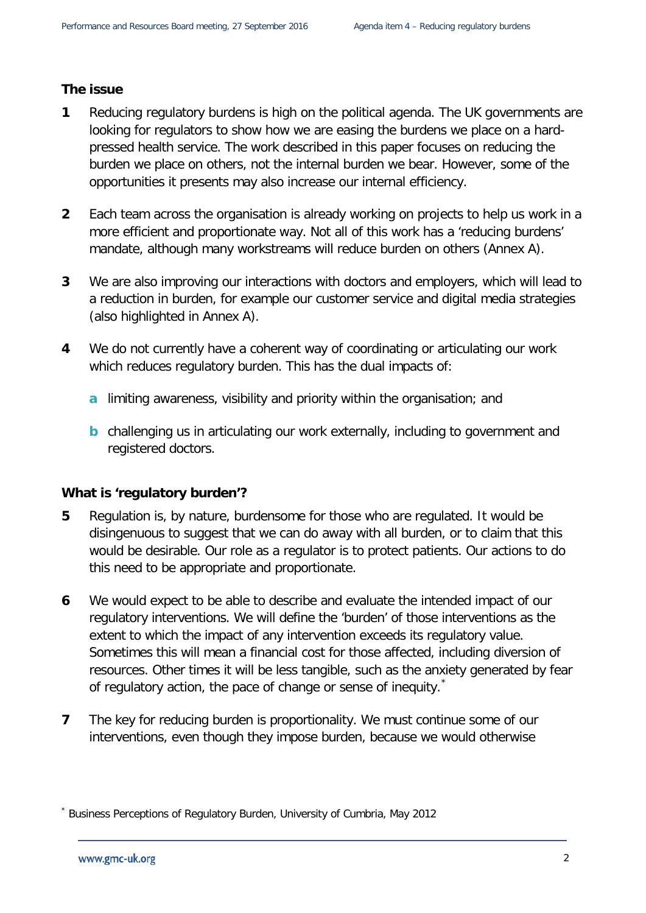#### **The issue**

- **1** Reducing regulatory burdens is high on the political agenda. The UK governments are looking for regulators to show how we are easing the burdens we place on a hardpressed health service. The work described in this paper focuses on reducing the burden we place on others, not the internal burden we bear. However, some of the opportunities it presents may also increase our internal efficiency.
- **2** Each team across the organisation is already working on projects to help us work in a more efficient and proportionate way. Not all of this work has a 'reducing burdens' mandate, although many workstreams will reduce burden on others (Annex A).
- **3** We are also improving our interactions with doctors and employers, which will lead to a reduction in burden, for example our customer service and digital media strategies (also highlighted in Annex A).
- **4** We do not currently have a coherent way of coordinating or articulating our work which reduces regulatory burden. This has the dual impacts of:
	- **a** limiting awareness, visibility and priority within the organisation; and
	- **b** challenging us in articulating our work externally, including to government and registered doctors.

#### **What is 'regulatory burden'?**

- **5** Regulation is, by nature, burdensome for those who are regulated. It would be disingenuous to suggest that we can do away with all burden, or to claim that this would be desirable. Our role as a regulator is to protect patients. Our actions to do this need to be appropriate and proportionate.
- **6** We would expect to be able to describe and evaluate the intended impact of our regulatory interventions. We will define the 'burden' of those interventions as the extent to which the impact of any intervention exceeds its regulatory value. Sometimes this will mean a financial cost for those affected, including diversion of resources. Other times it will be less tangible, such as the anxiety generated by fear of regulatory action, the pace of change or sense of inequity.
- **7** The key for reducing burden is proportionality. We must continue some of our interventions, even though they impose burden, because we would otherwise

<span id="page-1-0"></span><sup>\*</sup> Business Perceptions of Regulatory Burden, University of Cumbria, May 2012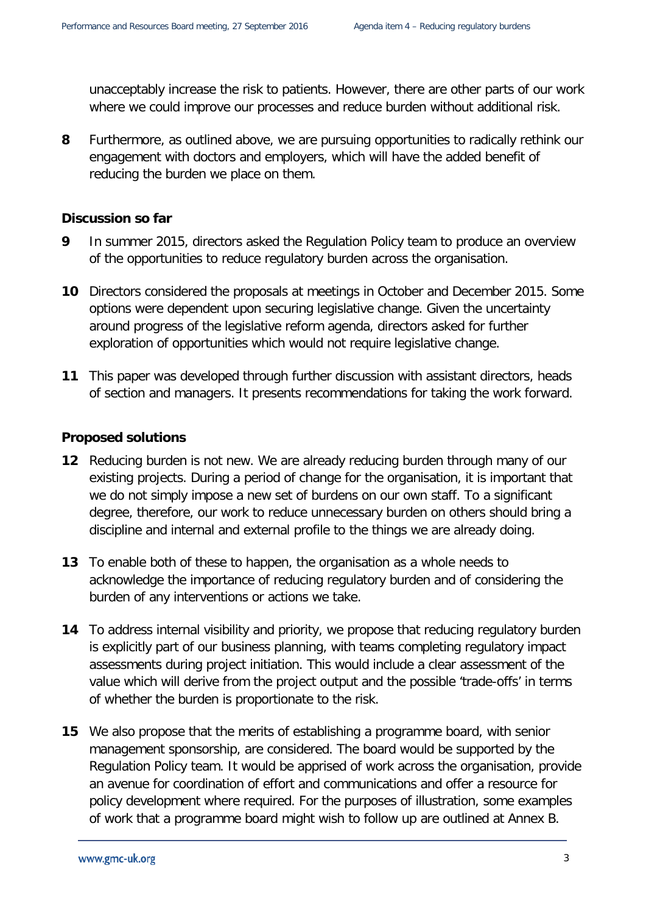unacceptably increase the risk to patients. However, there are other parts of our work where we could improve our processes and reduce burden without additional risk.

**8** Furthermore, as outlined above, we are pursuing opportunities to radically rethink our engagement with doctors and employers, which will have the added benefit of reducing the burden we place on them.

#### **Discussion so far**

- **9** In summer 2015, directors asked the Regulation Policy team to produce an overview of the opportunities to reduce regulatory burden across the organisation.
- **10** Directors considered the proposals at meetings in October and December 2015. Some options were dependent upon securing legislative change. Given the uncertainty around progress of the legislative reform agenda, directors asked for further exploration of opportunities which would not require legislative change.
- **11** This paper was developed through further discussion with assistant directors, heads of section and managers. It presents recommendations for taking the work forward.

#### **Proposed solutions**

- **12** Reducing burden is not new. We are already reducing burden through many of our existing projects. During a period of change for the organisation, it is important that we do not simply impose a new set of burdens on our own staff. To a significant degree, therefore, our work to reduce unnecessary burden on others should bring a discipline and internal and external profile to the things we are already doing.
- **13** To enable both of these to happen, the organisation as a whole needs to acknowledge the importance of reducing regulatory burden and of considering the burden of any interventions or actions we take.
- **14** To address internal visibility and priority, we propose that reducing regulatory burden is explicitly part of our business planning, with teams completing regulatory impact assessments during project initiation. This would include a clear assessment of the value which will derive from the project output and the possible 'trade-offs' in terms of whether the burden is proportionate to the risk.
- **15** We also propose that the merits of establishing a programme board, with senior management sponsorship, are considered. The board would be supported by the Regulation Policy team. It would be apprised of work across the organisation, provide an avenue for coordination of effort and communications and offer a resource for policy development where required. For the purposes of illustration, some examples of work that a programme board might wish to follow up are outlined at Annex B.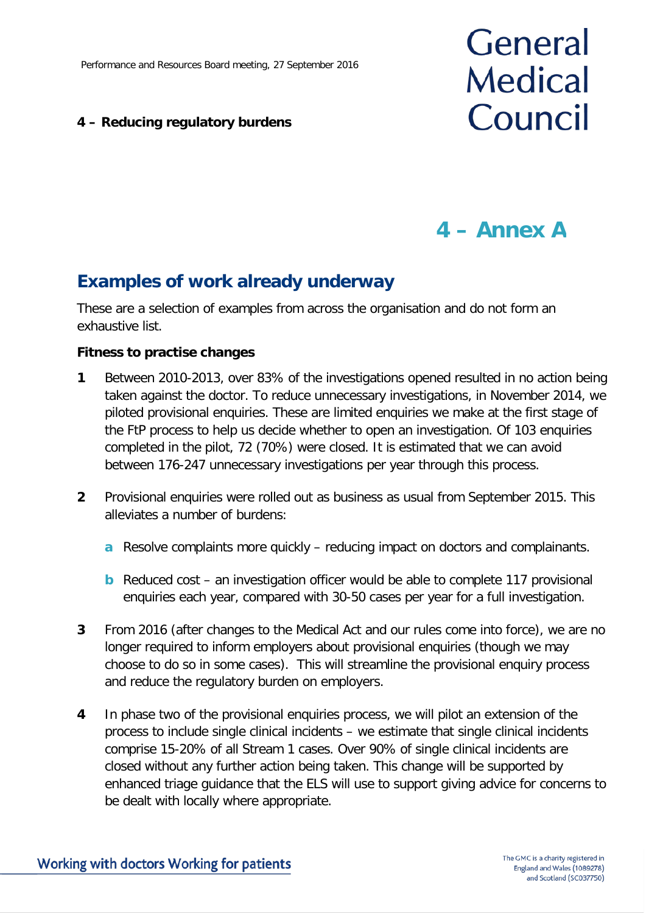#### **4 – Reducing regulatory burdens**

# General **Medical** Council

### **4 – Annex A**

### **Examples of work already underway**

These are a selection of examples from across the organisation and do not form an exhaustive list.

#### **Fitness to practise changes**

- **1** Between 2010-2013, over 83% of the investigations opened resulted in no action being taken against the doctor. To reduce unnecessary investigations, in November 2014, we piloted provisional enquiries. These are limited enquiries we make at the first stage of the FtP process to help us decide whether to open an investigation. Of 103 enquiries completed in the pilot, 72 (70%) were closed. It is estimated that we can avoid between 176-247 unnecessary investigations per year through this process.
- **2** Provisional enquiries were rolled out as business as usual from September 2015. This alleviates a number of burdens:
	- **a** Resolve complaints more quickly reducing impact on doctors and complainants.
	- **b** Reduced cost an investigation officer would be able to complete 117 provisional enquiries each year, compared with 30-50 cases per year for a full investigation.
- **3** From 2016 (after changes to the Medical Act and our rules come into force), we are no longer required to inform employers about provisional enquiries (though we may choose to do so in some cases). This will streamline the provisional enquiry process and reduce the regulatory burden on employers.
- **4** In phase two of the provisional enquiries process, we will pilot an extension of the process to include single clinical incidents – we estimate that single clinical incidents comprise 15-20% of all Stream 1 cases. Over 90% of single clinical incidents are closed without any further action being taken. This change will be supported by enhanced triage guidance that the ELS will use to support giving advice for concerns to be dealt with locally where appropriate.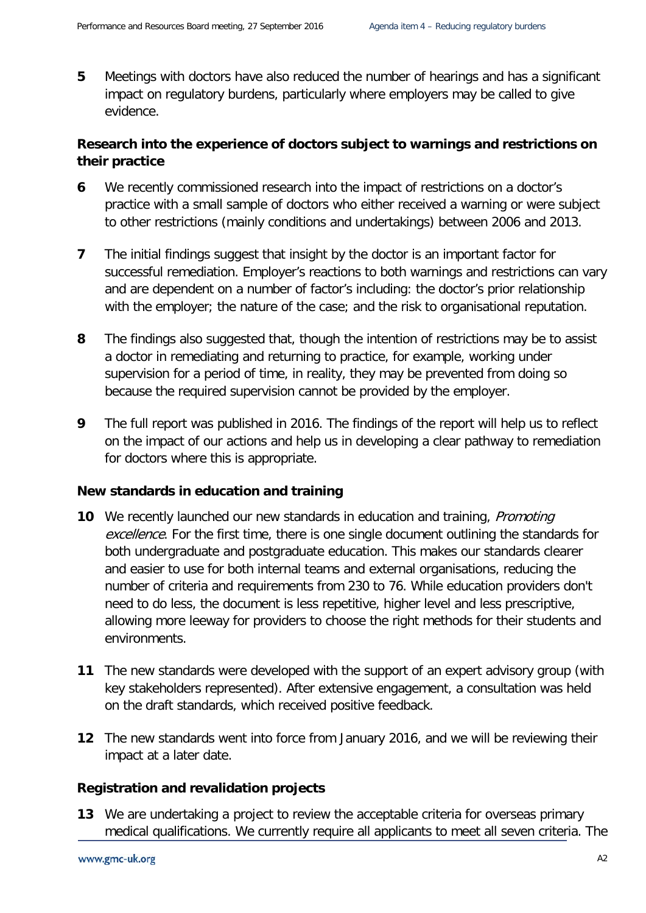**5** Meetings with doctors have also reduced the number of hearings and has a significant impact on regulatory burdens, particularly where employers may be called to give evidence.

#### **Research into the experience of doctors subject to warnings and restrictions on their practice**

- **6** We recently commissioned research into the impact of restrictions on a doctor's practice with a small sample of doctors who either received a warning or were subject to other restrictions (mainly conditions and undertakings) between 2006 and 2013.
- **7** The initial findings suggest that insight by the doctor is an important factor for successful remediation. Employer's reactions to both warnings and restrictions can vary and are dependent on a number of factor's including: the doctor's prior relationship with the employer; the nature of the case; and the risk to organisational reputation.
- **8** The findings also suggested that, though the intention of restrictions may be to assist a doctor in remediating and returning to practice, for example, working under supervision for a period of time, in reality, they may be prevented from doing so because the required supervision cannot be provided by the employer.
- **9** The full report was published in 2016. The findings of the report will help us to reflect on the impact of our actions and help us in developing a clear pathway to remediation for doctors where this is appropriate.

#### **New standards in education and training**

- **10** We recently launched our new standards in education and training, *Promoting* excellence. For the first time, there is one single document outlining the standards for both undergraduate and postgraduate education. This makes our standards clearer and easier to use for both internal teams and external organisations, reducing the number of criteria and requirements from 230 to 76. While education providers don't need to do less, the document is less repetitive, higher level and less prescriptive, allowing more leeway for providers to choose the right methods for their students and environments.
- **11** The new standards were developed with the support of an expert advisory group (with key stakeholders represented). After extensive engagement, a consultation was held on the draft standards, which received positive feedback.
- **12** The new standards went into force from January 2016, and we will be reviewing their impact at a later date.

#### **Registration and revalidation projects**

**13** We are undertaking a project to review the acceptable criteria for overseas primary medical qualifications. We currently require all applicants to meet all seven criteria. The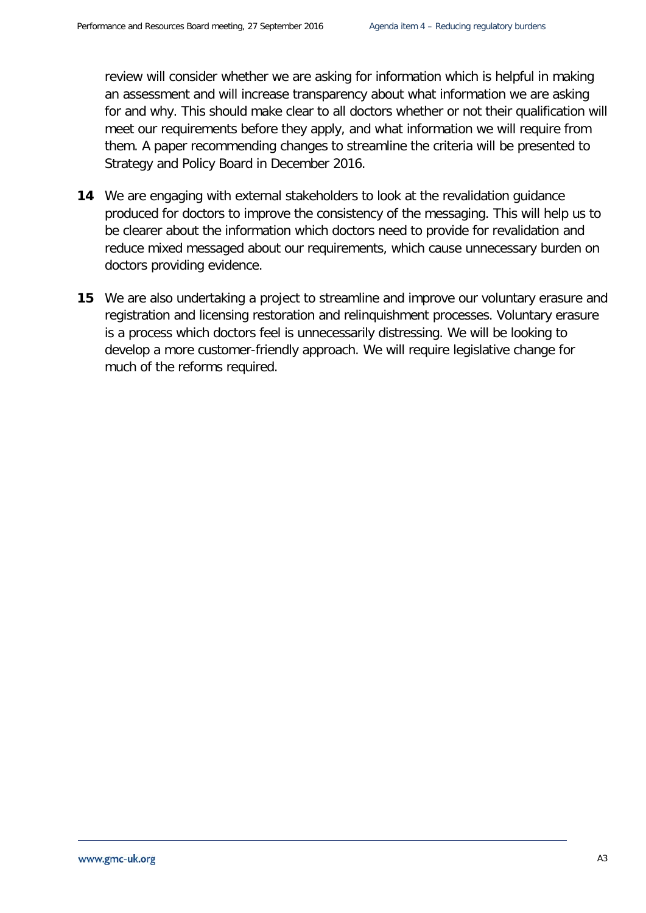review will consider whether we are asking for information which is helpful in making an assessment and will increase transparency about what information we are asking for and why. This should make clear to all doctors whether or not their qualification will meet our requirements before they apply, and what information we will require from them. A paper recommending changes to streamline the criteria will be presented to Strategy and Policy Board in December 2016.

- **14** We are engaging with external stakeholders to look at the revalidation guidance produced for doctors to improve the consistency of the messaging. This will help us to be clearer about the information which doctors need to provide for revalidation and reduce mixed messaged about our requirements, which cause unnecessary burden on doctors providing evidence.
- **15** We are also undertaking a project to streamline and improve our voluntary erasure and registration and licensing restoration and relinquishment processes. Voluntary erasure is a process which doctors feel is unnecessarily distressing. We will be looking to develop a more customer-friendly approach. We will require legislative change for much of the reforms required.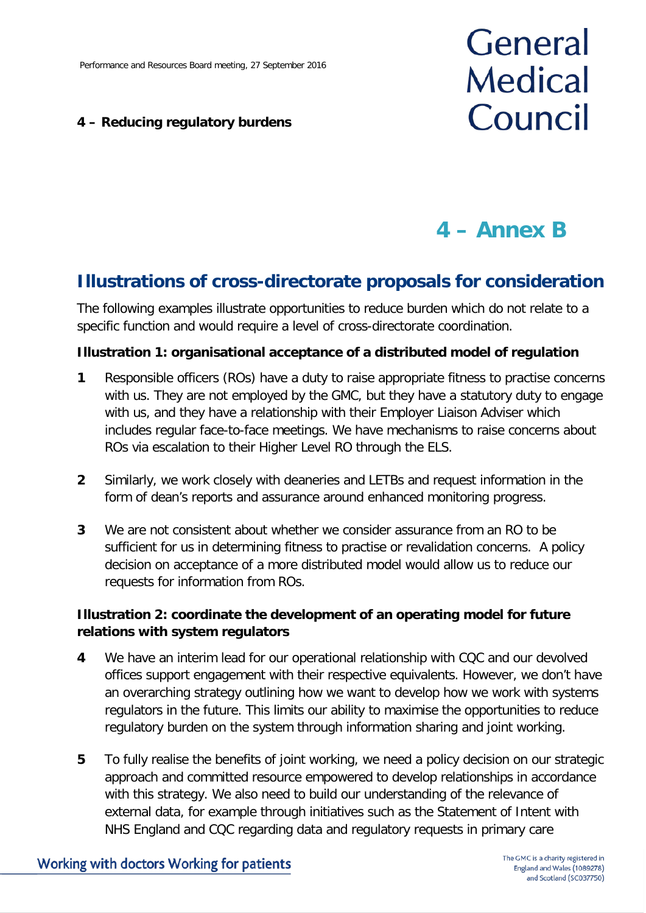#### **4 – Reducing regulatory burdens**

# General **Medical** Council

## **4 – Annex B**

### **Illustrations of cross-directorate proposals for consideration**

The following examples illustrate opportunities to reduce burden which do not relate to a specific function and would require a level of cross-directorate coordination.

#### **Illustration 1: organisational acceptance of a distributed model of regulation**

- **1** Responsible officers (ROs) have a duty to raise appropriate fitness to practise concerns with us. They are not employed by the GMC, but they have a statutory duty to engage with us, and they have a relationship with their Employer Liaison Adviser which includes regular face-to-face meetings. We have mechanisms to raise concerns about ROs via escalation to their Higher Level RO through the ELS.
- **2** Similarly, we work closely with deaneries and LETBs and request information in the form of dean's reports and assurance around enhanced monitoring progress.
- **3** We are not consistent about whether we consider assurance from an RO to be sufficient for us in determining fitness to practise or revalidation concerns. A policy decision on acceptance of a more distributed model would allow us to reduce our requests for information from ROs.

#### **Illustration 2: coordinate the development of an operating model for future relations with system regulators**

- **4** We have an interim lead for our operational relationship with CQC and our devolved offices support engagement with their respective equivalents. However, we don't have an overarching strategy outlining how we want to develop how we work with systems regulators in the future. This limits our ability to maximise the opportunities to reduce regulatory burden on the system through information sharing and joint working.
- **5** To fully realise the benefits of joint working, we need a policy decision on our strategic approach and committed resource empowered to develop relationships in accordance with this strategy. We also need to build our understanding of the relevance of external data, for example through initiatives such as the Statement of Intent with NHS England and CQC regarding data and regulatory requests in primary care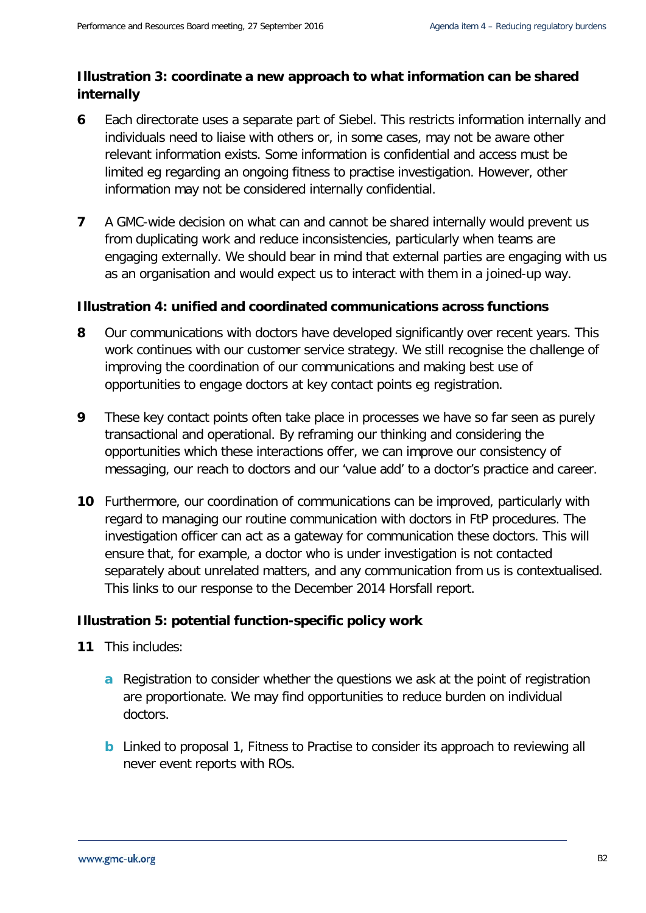#### **Illustration 3: coordinate a new approach to what information can be shared internally**

- **6** Each directorate uses a separate part of Siebel. This restricts information internally and individuals need to liaise with others or, in some cases, may not be aware other relevant information exists. Some information is confidential and access must be limited eg regarding an ongoing fitness to practise investigation. However, other information may not be considered internally confidential.
- **7** A GMC-wide decision on what can and cannot be shared internally would prevent us from duplicating work and reduce inconsistencies, particularly when teams are engaging externally. We should bear in mind that external parties are engaging with us as an organisation and would expect us to interact with them in a joined-up way.

#### **Illustration 4: unified and coordinated communications across functions**

- **8** Our communications with doctors have developed significantly over recent years. This work continues with our customer service strategy. We still recognise the challenge of improving the coordination of our communications and making best use of opportunities to engage doctors at key contact points eg registration.
- **9** These key contact points often take place in processes we have so far seen as purely transactional and operational. By reframing our thinking and considering the opportunities which these interactions offer, we can improve our consistency of messaging, our reach to doctors and our 'value add' to a doctor's practice and career.
- **10** Furthermore, our coordination of communications can be improved, particularly with regard to managing our routine communication with doctors in FtP procedures. The investigation officer can act as a gateway for communication these doctors. This will ensure that, for example, a doctor who is under investigation is not contacted separately about unrelated matters, and any communication from us is contextualised. This links to our response to the December 2014 Horsfall report.

#### **Illustration 5: potential function-specific policy work**

- **11** This includes:
	- **a** Registration to consider whether the questions we ask at the point of registration are proportionate. We may find opportunities to reduce burden on individual doctors.
	- **b** Linked to proposal 1, Fitness to Practise to consider its approach to reviewing all never event reports with ROs.